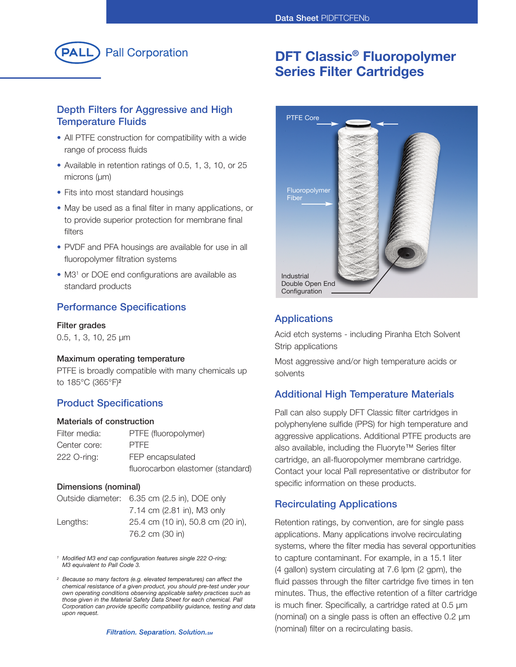

### **Depth Filters for Aggressive and High Temperature Fluids**

- All PTFE construction for compatibility with a wide range of process fluids
- Available in retention ratings of 0.5, 1, 3, 10, or 25 microns (µm)
- Fits into most standard housings
- May be used as a final filter in many applications, or to provide superior protection for membrane final filters
- PVDF and PFA housings are available for use in all fluoropolymer filtration systems
- M3<sup>1</sup> or DOE end configurations are available as standard products

#### **Performance Specifications**

#### **Filter grades**

0.5, 1, 3, 10, 25 µm

#### **Maximum operating temperature**

PTFE is broadly compatible with many chemicals up to 185°C (365°F) **2**

#### **Product Specifications**

#### **Materials of construction**

| Filter media: | PTFE (fluoropolymer)              |
|---------------|-----------------------------------|
| Center core:  | <b>PTFF</b>                       |
| 222 O-ring:   | FEP encapsulated                  |
|               | fluorocarbon elastomer (standard) |

#### **Dimensions (nominal)**

|          | Outside diameter: 6.35 cm (2.5 in), DOE only |
|----------|----------------------------------------------|
|          | 7.14 cm (2.81 in), M3 only                   |
| Lengths: | 25.4 cm (10 in), 50.8 cm (20 in),            |
|          | 76.2 cm (30 in)                              |

*<sup>1</sup> Modified M3 end cap configuration features single 222 O-ring; M3 equivalent to Pall Code 3.*

*<sup>2</sup> Because so many factors (e.g. elevated temperatures) can affect the chemical resistance of a given product, you should pre-test under your own operating conditions observing applicable safety practices such as those given in the Material Safety Data Sheet for each chemical. Pall Corporation can provide specific compatibility guidance, testing and data upon request.*

# **DFT Classic® Fluoropolymer Series Filter Cartridges**



#### **Applications**

Acid etch systems - including Piranha Etch Solvent Strip applications

Most aggressive and/or high temperature acids or solvents

### **Additional High Temperature Materials**

Pall can also supply DFT Classic filter cartridges in polyphenylene sulfide (PPS) for high temperature and aggressive applications. Additional PTFE products are also available, including the Fluoryte™ Series filter cartridge, an all-fluoropolymer membrane cartridge. Contact your local Pall representative or distributor for specific information on these products.

#### **Recirculating Applications**

Retention ratings, by convention, are for single pass applications. Many applications involve recirculating systems, where the filter media has several opportunities to capture contaminant. For example, in a 15.1 liter (4 gallon) system circulating at 7.6 lpm (2 gpm), the fluid passes through the filter cartridge five times in ten minutes. Thus, the effective retention of a filter cartridge is much finer. Specifically, a cartridge rated at 0.5 µm (nominal) on a single pass is often an effective 0.2 µm (nominal) filter on a recirculating basis.